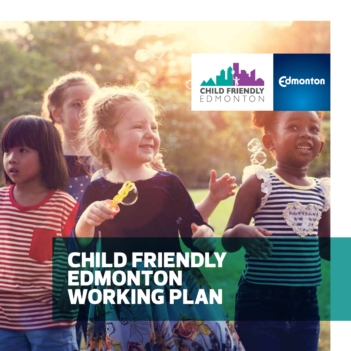

**Edmonton** 

## CHILD FRIENDLY EDMONTON WORKING PLAN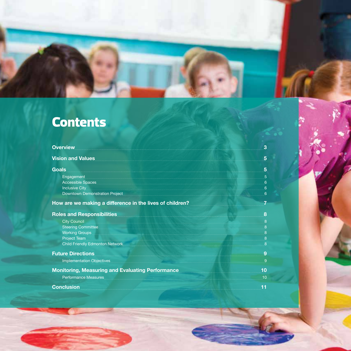## **Contents**

| <b>Overview</b>                                                                                                                                                                                                                      | 3                          |
|--------------------------------------------------------------------------------------------------------------------------------------------------------------------------------------------------------------------------------------|----------------------------|
| <b>Vision and Values</b>                                                                                                                                                                                                             | 5                          |
| <b>Goals</b>                                                                                                                                                                                                                         | 5                          |
|                                                                                                                                                                                                                                      | $5\overline{5}$            |
| Accessible Spaces                                                                                                                                                                                                                    | $\bullet$                  |
| Inclusive City <b>Contract of the City of the City of the City</b>                                                                                                                                                                   | 6                          |
| Downtown Demonstration Project <b>Contract Contract Contract Contract Contract Contract Contract Contract Contract Contract Contract Contract Contract Contract Contract Contract Contract Contract Contract Contract Contract C</b> | 6                          |
| How are we making a difference in the lives of children?                                                                                                                                                                             | $\overline{7}$             |
| Roles and Responsibilities <b>Manual Property Act 2016</b>                                                                                                                                                                           | 8                          |
| <b>City Council</b>                                                                                                                                                                                                                  | 8                          |
| Steering Committee <b>Committee Committee Committee Committee Committee Committee</b>                                                                                                                                                | $\overline{\phantom{a}}$ 8 |
| Working Groups <b>Example 20</b> Normal Property of the United States of the United States and Dental Property of the U                                                                                                              | $_{-8}$                    |
| Project Team<br>$\bf{8}$                                                                                                                                                                                                             |                            |
| Child Friendly Edmonton Network                                                                                                                                                                                                      | 8                          |
| <b>Future Directions</b>                                                                                                                                                                                                             | 9                          |
| Implementation Objectives                                                                                                                                                                                                            | $\overline{9}$             |
| Monitoring, Measuring and Evaluating Performance                                                                                                                                                                                     | 10                         |
| <b>Performance Measures</b>                                                                                                                                                                                                          | 10                         |
| <b>Conclusion</b>                                                                                                                                                                                                                    | 11                         |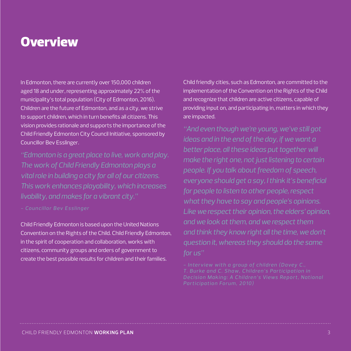### **Overview**

In Edmonton, there are currently over 150,000 children aged 18 and under, representing approximately 22% of the municipality's total population (City of Edmonton, 2016). Children are the future of Edmonton, and as a city, we strive to support children, which in turn benefits all citizens. This vision provides rationale and supports the importance of the Child Friendly Edmonton City Council Initiative, sponsored by Councillor Bev Esslinger.

*"Edmonton is a great place to live, work and play. The work of Child Friendly Edmonton plays a vital role in building a city for all of our citizens. This work enhances playability, which increases livability, and makes for a vibrant city."* 

Child Friendly Edmonton is based upon the United Nations Convention on the Rights of the Child. Child Friendly Edmonton, in the spirit of cooperation and collaboration, works with citizens, community groups and orders of government to create the best possible results for children and their families.

Child friendly cities, such as Edmonton, are committed to the implementation of the Convention on the Rights of the Child and recognize that children are active citizens, capable of providing input on, and participating in, matters in which they are impacted.

*"And even though we're young, we've still got ideas and in the end of the day, if we want a better place, all these ideas put together will make the right one, not just listening to certain people. If you talk about freedom of speech, everyone should get a say, I think it's beneficial for people to listen to other people, respect what they have to say and people's opinions. Like we respect their opinion, the elders' opinion, and we look at them, and we respect them and think they know right all the time, we don't question it, whereas they should do the same for us"*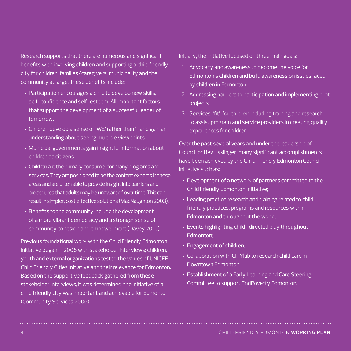Research supports that there are numerous and significant benefits with involving children and supporting a child friendly city for children, families/caregivers, municipality and the community at large. These benefits include:

- Participation encourages a child to develop new skills, self-confidence and self-esteem. All important factors that support the development of a successful leader of tomorrow.
- Children develop a sense of 'WE' rather than 'I' and gain an understanding about seeing multiple viewpoints.
- Municipal governments gain insightful information about children as citizens.
- Children are the primary consumer for many programs and services. They are positioned to be the content experts in these areas and are often able to provide insight into barriers and procedures that adults may be unaware of over time. This can result in simpler, cost effective solutions (MacNaughton 2003).
- Benefits to the community include the development of a more vibrant democracy and a stronger sense of community cohesion and empowerment (Davey 2010).

Previous foundational work with the Child Friendly Edmonton Initiative began in 2006 with stakeholder interviews; children, youth and external organizations tested the values of UNICEF Child Friendly Cities Initiative and their relevance for Edmonton. Based on the supportive feedback gathered from these stakeholder interviews, it was determined the initiative of a child friendly city was important and achievable for Edmonton (Community Services 2006).

Initially, the initiative focused on three main goals:

- 1. Advocacy and awareness to become the voice for Edmonton's children and build awareness on issues faced by children in Edmonton
- 2. Addressing barriers to participation and implementing pilot projects
- 3. Services "fit" for children including training and research to assist program and service providers in creating quality experiences for children

Over the past several years and under the leadership of Councillor Bev Esslinger, many significant accomplishments have been achieved by the Child Friendly Edmonton Council Initiative such as:

- Development of a network of partners committed to the Child Friendly Edmonton Initiative;
- Leading practice research and training related to child friendly practices, programs and resources within Edmonton and throughout the world;
- Events highlighting child- directed play throughout Edmonton;
- Engagement of children;
- Collaboration with CITYlab to research child care in Downtown Edmonton;
- Establishment of a Early Learning and Care Steering Committee to support EndPoverty Edmonton.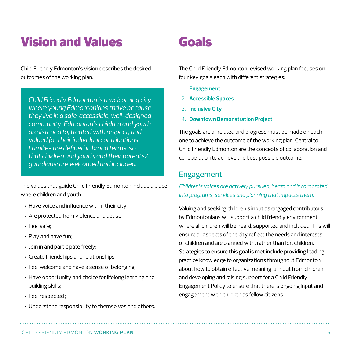## Vision and Values

Child Friendly Edmonton's vision describes the desired outcomes of the working plan.

*Child Friendly Edmonton is a welcoming city where young Edmontonians thrive because they live in a safe, accessible, well-designed community. Edmonton's children and youth are listened to, treated with respect, and valued for their individual contributions. Families are defined in broad terms, so that children and youth, and their parents/ guardians; are welcomed and included.* 

The values that guide Child Friendly Edmonton include a place where children and youth:

- Have voice and influence within their city;
- Are protected from violence and abuse;
- Feel safe;
- Play and have fun;
- Join in and participate freely;
- Create friendships and relationships;
- Feel welcome and have a sense of belonging;
- Have opportunity and choice for lifelong learning and building skills;
- Feel respected ;
- Understand responsibility to themselves and others.

## Goals

The Child Friendly Edmonton revised working plan focuses on four key goals each with different strategies:

- 1. **Engagement**
- 2. **Accessible Spaces**
- 3. **Inclusive City**
- 4. **Downtown Demonstration Project**

The goals are all related and progress must be made on each one to achieve the outcome of the working plan. Central to Child Friendly Edmonton are the concepts of collaboration and co-operation to achieve the best possible outcome.

#### Engagement

*Children's voices are actively pursued, heard and incorporated into programs, services and planning that impacts them.* 

Valuing and seeking children's input as engaged contributors by Edmontonians will support a child friendly environment where all children will be heard, supported and included. This will ensure all aspects of the city reflect the needs and interests of children and are planned with, rather than for, children. Strategies to ensure this goal is met include providing leading practice knowledge to organizations throughout Edmonton about how to obtain effective meaningful input from children and developing and raising support for a Child Friendly Engagement Policy to ensure that there is ongoing input and engagement with children as fellow citizens.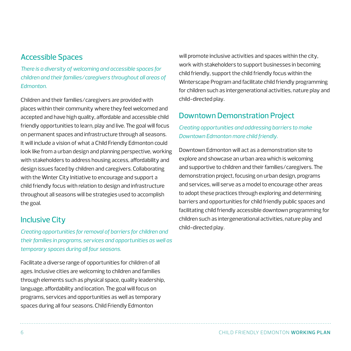#### Accessible Spaces

*There is a diversity of welcoming and accessible spaces for children and their families/caregivers throughout all areas of Edmonton.* 

Children and their families/caregivers are provided with places within their community where they feel welcomed and accepted and have high quality, affordable and accessible child friendly opportunities to learn, play and live. The goal will focus on permanent spaces and infrastructure through all seasons. It will include a vision of what a Child Friendly Edmonton could look like from a urban design and planning perspective, working with stakeholders to address housing access, affordability and design issues faced by children and caregivers. Collaborating with the Winter City Initiative to encourage and support a child friendly focus with relation to design and infrastructure throughout all seasons will be strategies used to accomplish the goal.

#### Inclusive City

*Creating opportunities for removal of barriers for children and their families in programs, services and opportunities as well as temporary spaces during all four seasons.* 

Facilitate a diverse range of opportunities for children of all ages. Inclusive cities are welcoming to children and families through elements such as physical space, quality leadership, language, affordability and location. The goal will focus on programs, services and opportunities as well as temporary spaces during all four seasons. Child Friendly Edmonton

will promote inclusive activities and spaces within the city, work with stakeholders to support businesses in becoming child friendly, support the child friendly focus within the Winterscape Program and facilitate child friendly programming for children such as intergenerational activities, nature play and child-directed play.

#### Downtown Demonstration Project

*Creating opportunities and addressing barriers to make Downtown Edmonton more child friendly.*

Downtown Edmonton will act as a demonstration site to explore and showcase an urban area which is welcoming and supportive to children and their families/caregivers. The demonstration project, focusing on urban design, programs and services, will serve as a model to encourage other areas to adopt these practices through exploring and determining barriers and opportunities for child friendly public spaces and facilitating child friendly accessible downtown programming for children such as intergenerational activities, nature play and child-directed play.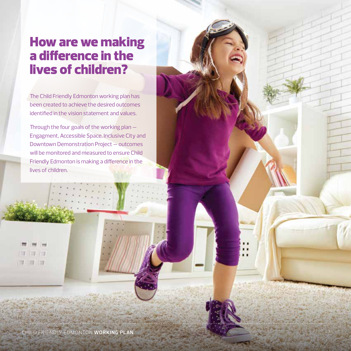## How are we making a difference in the lives of children?

The Child Friendly Edmonton working plan has been created to achieve the desired outcomes identified in the vision statement and values.

Through the four goals of the working plan — Engagment, Accessible Space, Inclusive City and Downtown Demonstration Project — outcomes will be monitored and measured to ensure Child Friendly Edmonton is making a difference in the lives of children.

. .

一 海 131313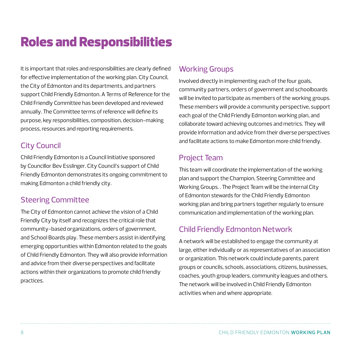## Roles and Responsibilities

It is important that roles and responsibilities are clearly defined for effective implementation of the working plan. City Council, the City of Edmonton and its departments, and partners support Child Friendly Edmonton. A Terms of Reference for the Child Friendly Committee has been developed and reviewed annually. The Committee terms of reference will define its purpose, key responsibilities, composition, decision-making process, resources and reporting requirements.

#### City Council

Child Friendly Edmonton is a Council Initiative sponsored by Councillor Bev Esslinger. City Council's support of Child Friendly Edmonton demonstrates its ongoing commitment to making Edmonton a child friendly city.

#### Steering Committee

The City of Edmonton cannot achieve the vision of a Child Friendly City by itself and recognizes the critical role that community-based organizations, orders of government, and School Boards play. These members assist in identifying emerging opportunities within Edmonton related to the goals of Child Friendly Edmonton. They will also provide information and advice from their diverse perspectives and facilitate actions within their organizations to promote child friendly practices.

#### Working Groups

Involved directly in implementing each of the four goals, community partners, orders of government and schoolboards will be invited to participate as members of the working groups. These members will provide a community perspective, support each goal of the Child Friendly Edmonton working plan, and collaborate toward achieving outcomes and metrics. They will provide information and advice from their diverse perspectives and facilitate actions to make Edmonton more child friendly.

#### Project Team

This team will coordinate the implementation of the working plan and support the Champion, Steering Committee and Working Groups. . The Project Team will be the internal City of Edmonton stewards for the Child Friendly Edmonton working plan and bring partners together regularly to ensure communication and implementation of the working plan.

#### Child Friendly Edmonton Network

A network will be established to engage the community at large, either individually or as representatives of an association or organization. This network could include parents, parent groups or councils, schools, associations, citizens, businesses, coaches, youth group leaders, community leagues and others. The network will be involved in Child Friendly Edmonton activities when and where appropriate.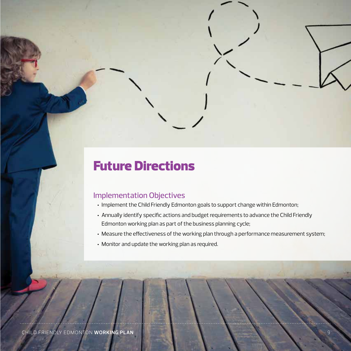## Future Directions

#### Implementation Objectives

- Implement the Child Friendly Edmonton goals to support change within Edmonton;
- Annually identify specific actions and budget requirements to advance the Child Friendly Edmonton working plan as part of the business planning cycle;
- Measure the effectiveness of the working plan through a performance measurement system;
- Monitor and update the working plan as required.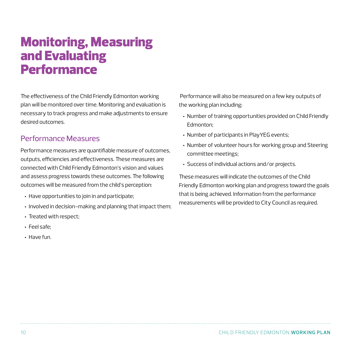## Monitoring, Measuring and Evaluating **Performance**

The effectiveness of the Child Friendly Edmonton working plan will be monitored over time. Monitoring and evaluation is necessary to track progress and make adjustments to ensure desired outcomes.

#### Performance Measures

Performance measures are quantifiable measure of outcomes, outputs, efficiencies and effectiveness. These measures are connected with Child Friendly Edmonton's vision and values and assess progress towards these outcomes. The following outcomes will be measured from the child's perception:

- Have opportunities to join in and participate;
- Involved in decision-making and planning that impact them;
- Treated with respect;
- Feel safe;
- Have fun.

 Performance will also be measured on a few key outputs of the working plan including:

- Number of training opportunities provided on Child Friendly Edmonton;
- Number of participants in PlayYEG events;
- Number of volunteer hours for working group and Steering committee meetings;
- Success of individual actions and/or projects.

These measures will indicate the outcomes of the Child Friendly Edmonton working plan and progress toward the goals that is being achieved. Information from the performance measurements will be provided to City Council as required.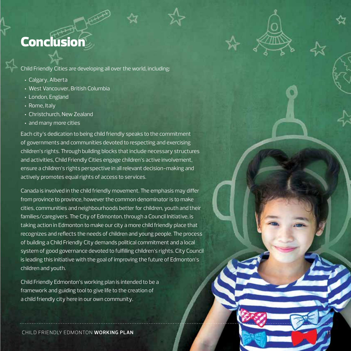## **Conclusion**

Child Friendly Cities are developing all over the world, including:

- Calgary, Alberta
- West Vancouver, British Columbia
- London, England
- Rome, Italy
- Christchurch, New Zealand
- and many more cities

Each city's dedication to being child friendly speaks to the commitment of governments and communities devoted to respecting and exercising children's rights. Through building blocks that include necessary structures and activities, Child Friendly Cities engage children's active involvement, ensure a children's rights perspective in all relevant decision-making and actively promotes equal rights of access to services.

Canada is involved in the child friendly movement. The emphasis may differ from province to province, however the common denominator is to make cities, communities and neighbourhoods better for children, youth and their families/caregivers. The City of Edmonton, through a Council Initiative, is taking action in Edmonton to make our city a more child friendly place that recognizes and reflects the needs of children and young people. The process of building a Child Friendly City demands political commitment and a local system of good governance devoted to fulfilling children's rights. City Council is leading this initiative with the goal of improving the future of Edmonton's children and youth.

Child Friendly Edmonton's working plan is intended to be a framework and guiding tool to give life to the creation of a child friendly city here in our own community.